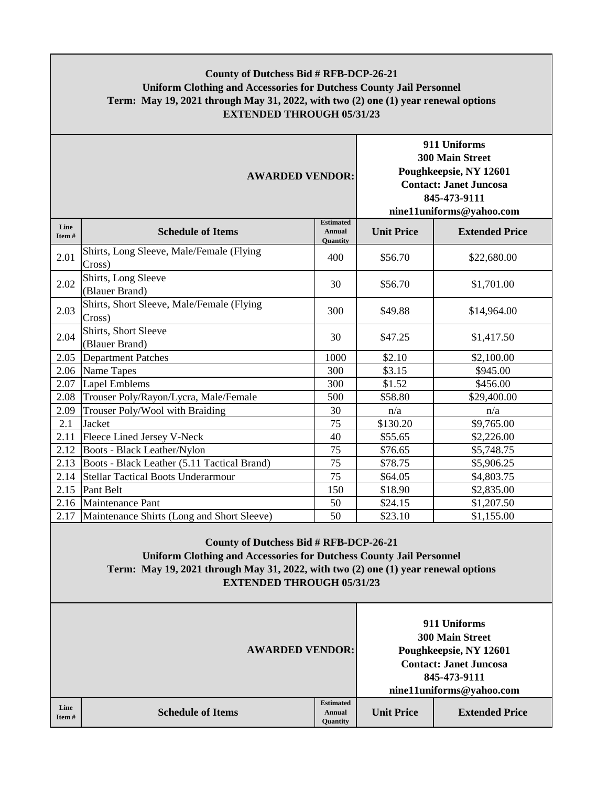## **County of Dutchess Bid # RFB-DCP-26-21 Uniform Clothing and Accessories for Dutchess County Jail Personnel Term: May 19, 2021 through May 31, 2022, with two (2) one (1) year renewal options EXTENDED THROUGH 05/31/23**

| <b>AWARDED VENDOR:</b> |                                                     |                                                      | 911 Uniforms<br><b>300 Main Street</b><br>Poughkeepsie, NY 12601<br><b>Contact: Janet Juncosa</b><br>845-473-9111<br>nine11uniforms@yahoo.com |                       |
|------------------------|-----------------------------------------------------|------------------------------------------------------|-----------------------------------------------------------------------------------------------------------------------------------------------|-----------------------|
| Line<br>Item#          | <b>Schedule of Items</b>                            | <b>Estimated</b><br><b>Annual</b><br><b>Quantity</b> | <b>Unit Price</b>                                                                                                                             | <b>Extended Price</b> |
| 2.01                   | Shirts, Long Sleeve, Male/Female (Flying<br>Cross)  | 400                                                  | \$56.70                                                                                                                                       | \$22,680.00           |
| 2.02                   | Shirts, Long Sleeve<br>(Blauer Brand)               | 30                                                   | \$56.70                                                                                                                                       | \$1,701.00            |
| 2.03                   | Shirts, Short Sleeve, Male/Female (Flying<br>Cross) | 300                                                  | \$49.88                                                                                                                                       | \$14,964.00           |
| 2.04                   | Shirts, Short Sleeve<br>(Blauer Brand)              | 30                                                   | \$47.25                                                                                                                                       | \$1,417.50            |
| 2.05                   | <b>Department Patches</b>                           | 1000                                                 | \$2.10                                                                                                                                        | \$2,100.00            |
| 2.06                   | Name Tapes                                          | 300                                                  | \$3.15                                                                                                                                        | \$945.00              |
| 2.07                   | <b>Lapel Emblems</b>                                | 300                                                  | \$1.52                                                                                                                                        | \$456.00              |
| 2.08                   | Trouser Poly/Rayon/Lycra, Male/Female               | 500                                                  | \$58.80                                                                                                                                       | \$29,400.00           |
| 2.09                   | Trouser Poly/Wool with Braiding                     | 30                                                   | n/a                                                                                                                                           | n/a                   |
| 2.1                    | Jacket                                              | 75                                                   | \$130.20                                                                                                                                      | \$9,765.00            |
| 2.11                   | Fleece Lined Jersey V-Neck                          | 40                                                   | \$55.65                                                                                                                                       | \$2,226.00            |
| 2.12                   | Boots - Black Leather/Nylon                         | 75                                                   | \$76.65                                                                                                                                       | \$5,748.75            |
| 2.13                   | Boots - Black Leather (5.11 Tactical Brand)         | 75                                                   | \$78.75                                                                                                                                       | \$5,906.25            |
| 2.14                   | <b>Stellar Tactical Boots Underarmour</b>           | 75                                                   | \$64.05                                                                                                                                       | \$4,803.75            |
| 2.15                   | Pant Belt                                           | 150                                                  | \$18.90                                                                                                                                       | \$2,835.00            |
| 2.16                   | Maintenance Pant                                    | 50                                                   | \$24.15                                                                                                                                       | \$1,207.50            |
| 2.17                   | Maintenance Shirts (Long and Short Sleeve)          | 50                                                   | \$23.10                                                                                                                                       | \$1,155.00            |

## **County of Dutchess Bid # RFB-DCP-26-21 Uniform Clothing and Accessories for Dutchess County Jail Personnel Term: May 19, 2021 through May 31, 2022, with two (2) one (1) year renewal options EXTENDED THROUGH 05/31/23**

|               |                          | <b>AWARDED VENDOR:</b>                        |                   | 911 Uniforms<br><b>300 Main Street</b><br>Poughkeepsie, NY 12601<br><b>Contact: Janet Juncosa</b><br>845-473-9111<br>nine11uniforms@yahoo.com |  |  |
|---------------|--------------------------|-----------------------------------------------|-------------------|-----------------------------------------------------------------------------------------------------------------------------------------------|--|--|
| Line<br>Item# | <b>Schedule of Items</b> | <b>Estimated</b><br><b>Annual</b><br>Quantity | <b>Unit Price</b> | <b>Extended Price</b>                                                                                                                         |  |  |